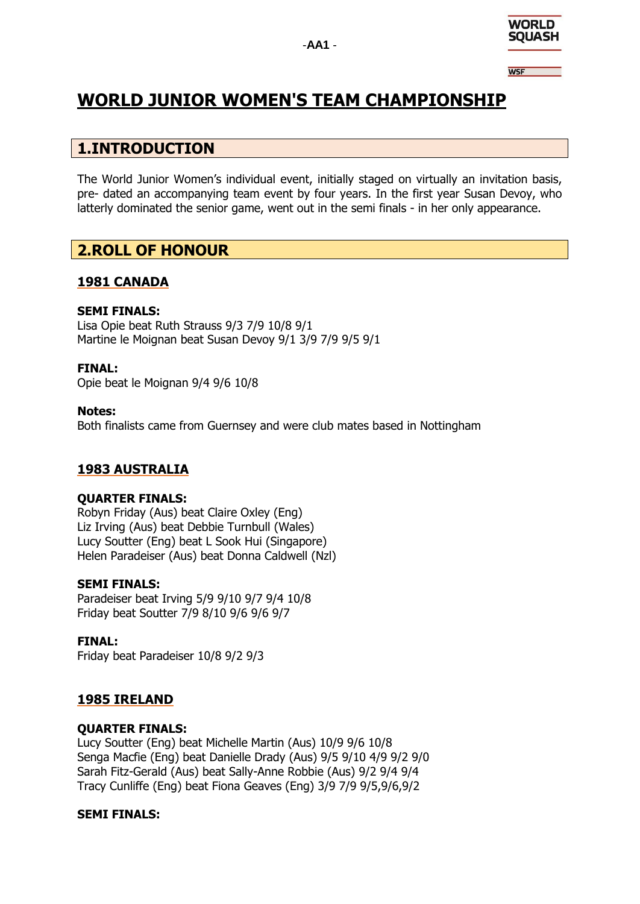

**WSF** 

# **WORLD JUNIOR WOMEN'S TEAM CHAMPIONSHIP**

## **1.INTRODUCTION**

The World Junior Women's individual event, initially staged on virtually an invitation basis, pre- dated an accompanying team event by four years. In the first year Susan Devoy, who latterly dominated the senior game, went out in the semi finals - in her only appearance.

## **2.ROLL OF HONOUR**

### **1981 CANADA**

### **SEMI FINALS:**

Lisa Opie beat Ruth Strauss 9/3 7/9 10/8 9/1 Martine le Moignan beat Susan Devoy 9/1 3/9 7/9 9/5 9/1

### **FINAL:**

Opie beat le Moignan 9/4 9/6 10/8

### **Notes:**

Both finalists came from Guernsey and were club mates based in Nottingham

### **1983 AUSTRALIA**

### **QUARTER FINALS:**

Robyn Friday (Aus) beat Claire Oxley (Eng) Liz Irving (Aus) beat Debbie Turnbull (Wales) Lucy Soutter (Eng) beat L Sook Hui (Singapore) Helen Paradeiser (Aus) beat Donna Caldwell (Nzl)

### **SEMI FINALS:**

Paradeiser beat Irving 5/9 9/10 9/7 9/4 10/8 Friday beat Soutter 7/9 8/10 9/6 9/6 9/7

### **FINAL:**

Friday beat Paradeiser 10/8 9/2 9/3

### **1985 IRELAND**

### **QUARTER FINALS:**

Lucy Soutter (Eng) beat Michelle Martin (Aus) 10/9 9/6 10/8 Senga Macfie (Eng) beat Danielle Drady (Aus) 9/5 9/10 4/9 9/2 9/0 Sarah Fitz-Gerald (Aus) beat Sally-Anne Robbie (Aus) 9/2 9/4 9/4 Tracy Cunliffe (Eng) beat Fiona Geaves (Eng) 3/9 7/9 9/5,9/6,9/2

### **SEMI FINALS:**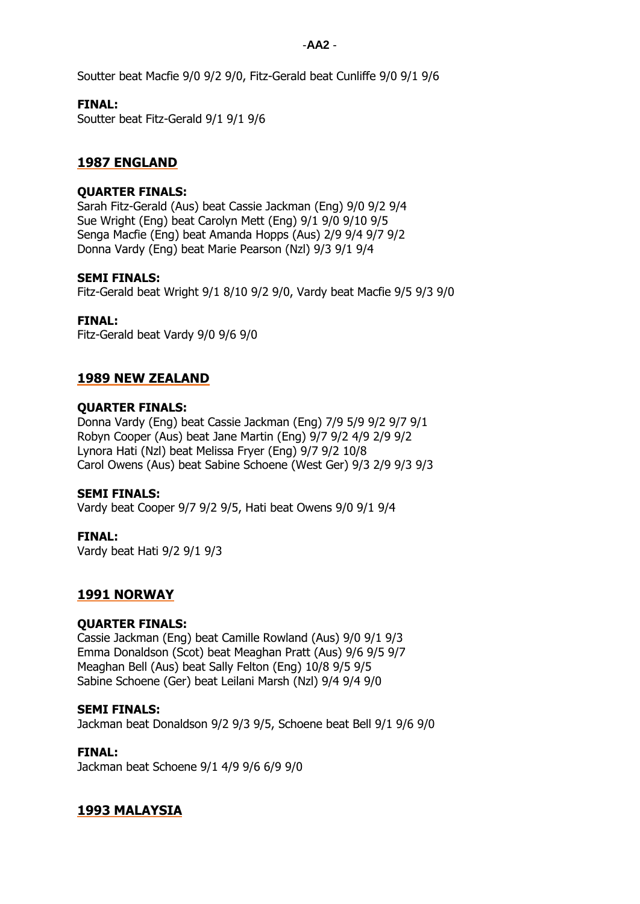Soutter beat Macfie 9/0 9/2 9/0, Fitz-Gerald beat Cunliffe 9/0 9/1 9/6

### **FINAL:**

Soutter beat Fitz-Gerald 9/1 9/1 9/6

### **1987 ENGLAND**

### **QUARTER FINALS:**

Sarah Fitz-Gerald (Aus) beat Cassie Jackman (Eng) 9/0 9/2 9/4 Sue Wright (Eng) beat Carolyn Mett (Eng) 9/1 9/0 9/10 9/5 Senga Macfie (Eng) beat Amanda Hopps (Aus) 2/9 9/4 9/7 9/2 Donna Vardy (Eng) beat Marie Pearson (Nzl) 9/3 9/1 9/4

### **SEMI FINALS:**

Fitz-Gerald beat Wright 9/1 8/10 9/2 9/0, Vardy beat Macfie 9/5 9/3 9/0

### **FINAL:**

Fitz-Gerald beat Vardy 9/0 9/6 9/0

### **1989 NEW ZEALAND**

### **QUARTER FINALS:**

Donna Vardy (Eng) beat Cassie Jackman (Eng) 7/9 5/9 9/2 9/7 9/1 Robyn Cooper (Aus) beat Jane Martin (Eng) 9/7 9/2 4/9 2/9 9/2 Lynora Hati (Nzl) beat Melissa Fryer (Eng) 9/7 9/2 10/8 Carol Owens (Aus) beat Sabine Schoene (West Ger) 9/3 2/9 9/3 9/3

### **SEMI FINALS:**

Vardy beat Cooper 9/7 9/2 9/5, Hati beat Owens 9/0 9/1 9/4

### **FINAL:**

Vardy beat Hati 9/2 9/1 9/3

### **1991 NORWAY**

### **QUARTER FINALS:**

Cassie Jackman (Eng) beat Camille Rowland (Aus) 9/0 9/1 9/3 Emma Donaldson (Scot) beat Meaghan Pratt (Aus) 9/6 9/5 9/7 Meaghan Bell (Aus) beat Sally Felton (Eng) 10/8 9/5 9/5 Sabine Schoene (Ger) beat Leilani Marsh (Nzl) 9/4 9/4 9/0

### **SEMI FINALS:**

Jackman beat Donaldson 9/2 9/3 9/5, Schoene beat Bell 9/1 9/6 9/0

### **FINAL:**

Jackman beat Schoene 9/1 4/9 9/6 6/9 9/0

### **1993 MALAYSIA**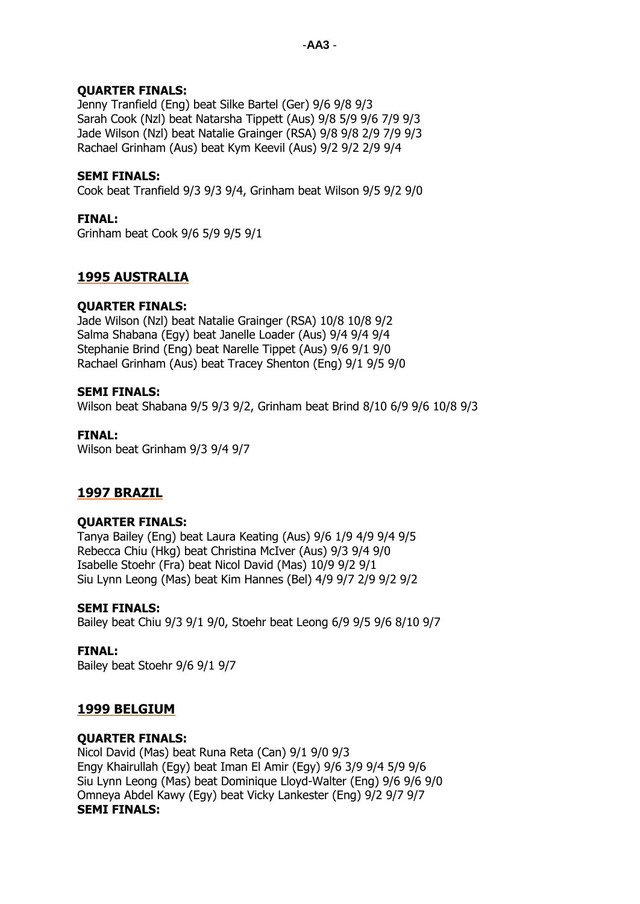### **QUARTER FINALS:**

Jenny Tranfield (Eng) beat Silke Bartel (Ger) 9/6 9/8 9/3 Sarah Cook (Nzl) beat Natarsha Tippett (Aus) 9/8 5/9 9/6 7/9 9/3 Jade Wilson (Nzl) beat Natalie Grainger (RSA) 9/8 9/8 2/9 7/9 9/3 Rachael Grinham (Aus) beat Kym Keevil (Aus) 9/2 9/2 2/9 9/4

### **SEMI FINALS:**

Cook beat Tranfield 9/3 9/3 9/4, Grinham beat Wilson 9/5 9/2 9/0

### **FINAL:**

Grinham beat Cook 9/6 5/9 9/5 9/1

### **1995 AUSTRALIA**

### **QUARTER FINALS:**

Jade Wilson (Nzl) beat Natalie Grainger (RSA) 10/8 10/8 9/2 Salma Shabana (Egy) beat Janelle Loader (Aus) 9/4 9/4 9/4 Stephanie Brind (Eng) beat Narelle Tippet (Aus) 9/6 9/1 9/0 Rachael Grinham (Aus) beat Tracey Shenton (Eng) 9/1 9/5 9/0

### **SEMI FINALS:**

Wilson beat Shabana 9/5 9/3 9/2, Grinham beat Brind 8/10 6/9 9/6 10/8 9/3

### **FINAL:**

Wilson beat Grinham 9/3 9/4 9/7

### **1997 BRAZIL**

### **QUARTER FINALS:**

Tanya Bailey (Eng) beat Laura Keating (Aus) 9/6 1/9 4/9 9/4 9/5 Rebecca Chiu (Hkg) beat Christina McIver (Aus) 9/3 9/4 9/0 Isabelle Stoehr (Fra) beat Nicol David (Mas) 10/9 9/2 9/1 Siu Lynn Leong (Mas) beat Kim Hannes (Bel) 4/9 9/7 2/9 9/2 9/2

### **SEMI FINALS:**

Bailey beat Chiu 9/3 9/1 9/0, Stoehr beat Leong 6/9 9/5 9/6 8/10 9/7

### **FINAL:**

Bailey beat Stoehr 9/6 9/1 9/7

### **1999 BELGIUM**

### **QUARTER FINALS:**

Nicol David (Mas) beat Runa Reta (Can) 9/1 9/0 9/3 Engy Khairullah (Egy) beat Iman El Amir (Egy) 9/6 3/9 9/4 5/9 9/6 Siu Lynn Leong (Mas) beat Dominique Lloyd-Walter (Eng) 9/6 9/6 9/0 Omneya Abdel Kawy (Egy) beat Vicky Lankester (Eng) 9/2 9/7 9/7 **SEMI FINALS:**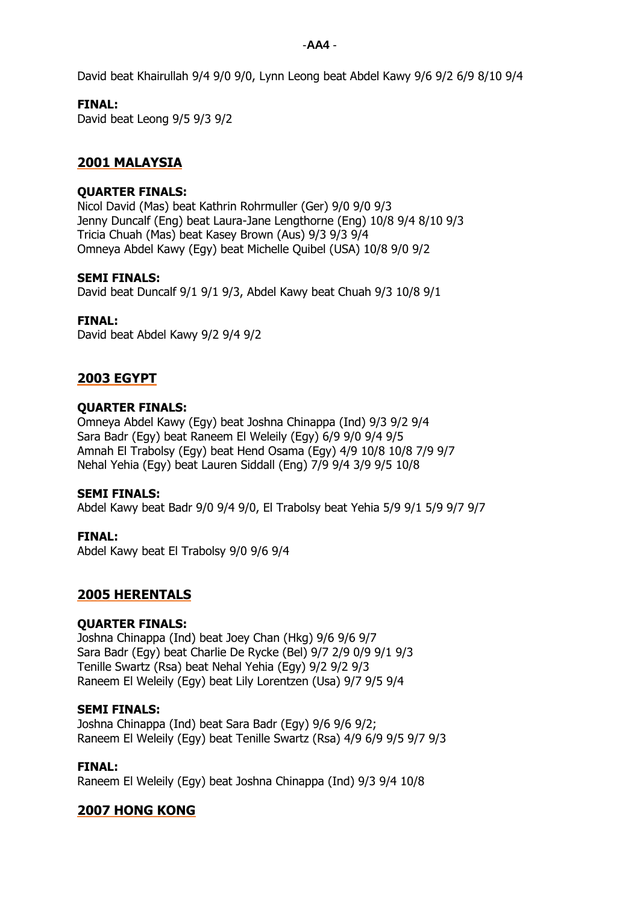-**AA4** -

David beat Khairullah 9/4 9/0 9/0, Lynn Leong beat Abdel Kawy 9/6 9/2 6/9 8/10 9/4

### **FINAL:**

David beat Leong 9/5 9/3 9/2

### **2001 MALAYSIA**

#### **QUARTER FINALS:**

Nicol David (Mas) beat Kathrin Rohrmuller (Ger) 9/0 9/0 9/3 Jenny Duncalf (Eng) beat Laura-Jane Lengthorne (Eng) 10/8 9/4 8/10 9/3 Tricia Chuah (Mas) beat Kasey Brown (Aus) 9/3 9/3 9/4 Omneya Abdel Kawy (Egy) beat Michelle Quibel (USA) 10/8 9/0 9/2

#### **SEMI FINALS:**

David beat Duncalf 9/1 9/1 9/3, Abdel Kawy beat Chuah 9/3 10/8 9/1

#### **FINAL:**

David beat Abdel Kawy 9/2 9/4 9/2

### **2003 EGYPT**

### **QUARTER FINALS:**

Omneya Abdel Kawy (Egy) beat Joshna Chinappa (Ind) 9/3 9/2 9/4 Sara Badr (Egy) beat Raneem El Weleily (Egy) 6/9 9/0 9/4 9/5 Amnah El Trabolsy (Egy) beat Hend Osama (Egy) 4/9 10/8 10/8 7/9 9/7 Nehal Yehia (Egy) beat Lauren Siddall (Eng) 7/9 9/4 3/9 9/5 10/8

#### **SEMI FINALS:**

Abdel Kawy beat Badr 9/0 9/4 9/0, El Trabolsy beat Yehia 5/9 9/1 5/9 9/7 9/7

### **FINAL:**

Abdel Kawy beat El Trabolsy 9/0 9/6 9/4

### **2005 HERENTALS**

### **QUARTER FINALS:**

Joshna Chinappa (Ind) beat Joey Chan (Hkg) 9/6 9/6 9/7 Sara Badr (Egy) beat Charlie De Rycke (Bel) 9/7 2/9 0/9 9/1 9/3 Tenille Swartz (Rsa) beat Nehal Yehia (Egy) 9/2 9/2 9/3 Raneem El Weleily (Egy) beat Lily Lorentzen (Usa) 9/7 9/5 9/4

#### **SEMI FINALS:**

Joshna Chinappa (Ind) beat Sara Badr (Egy) 9/6 9/6 9/2; Raneem El Weleily (Egy) beat Tenille Swartz (Rsa) 4/9 6/9 9/5 9/7 9/3

#### **FINAL:**

Raneem El Weleily (Egy) beat Joshna Chinappa (Ind) 9/3 9/4 10/8

### **2007 HONG KONG**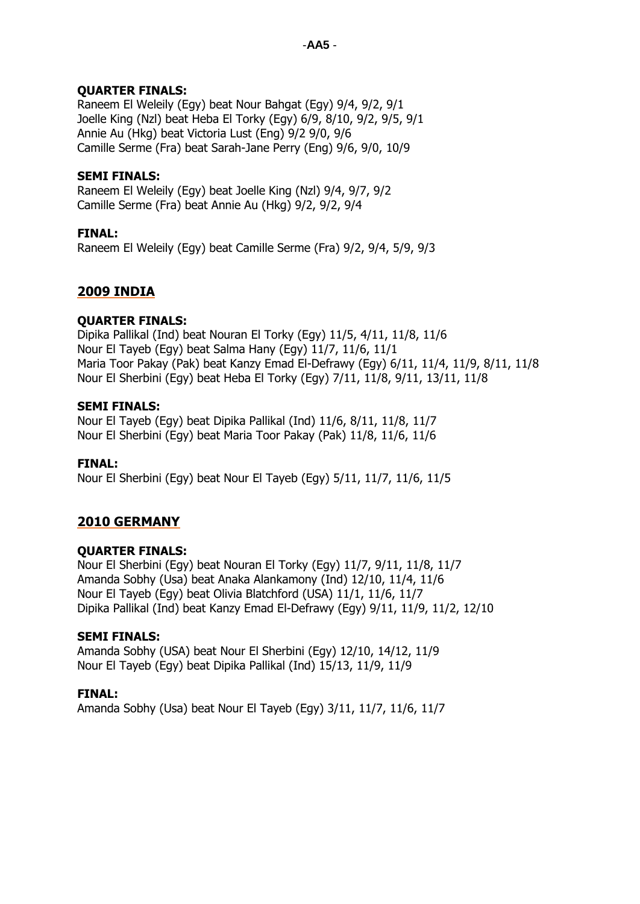### **QUARTER FINALS:**

Raneem El Weleily (Egy) beat Nour Bahgat (Egy) 9/4, 9/2, 9/1 Joelle King (Nzl) beat Heba El Torky (Egy) 6/9, 8/10, 9/2, 9/5, 9/1 Annie Au (Hkg) beat Victoria Lust (Eng) 9/2 9/0, 9/6 Camille Serme (Fra) beat Sarah-Jane Perry (Eng) 9/6, 9/0, 10/9

### **SEMI FINALS:**

Raneem El Weleily (Egy) beat Joelle King (Nzl) 9/4, 9/7, 9/2 Camille Serme (Fra) beat Annie Au (Hkg) 9/2, 9/2, 9/4

### **FINAL:**

Raneem El Weleily (Egy) beat Camille Serme (Fra) 9/2, 9/4, 5/9, 9/3

### **2009 INDIA**

### **QUARTER FINALS:**

Dipika Pallikal (Ind) beat Nouran El Torky (Egy) 11/5, 4/11, 11/8, 11/6 Nour El Tayeb (Egy) beat Salma Hany (Egy) 11/7, 11/6, 11/1 Maria Toor Pakay (Pak) beat Kanzy Emad El-Defrawy (Egy) 6/11, 11/4, 11/9, 8/11, 11/8 Nour El Sherbini (Egy) beat Heba El Torky (Egy) 7/11, 11/8, 9/11, 13/11, 11/8

### **SEMI FINALS:**

Nour El Tayeb (Egy) beat Dipika Pallikal (Ind) 11/6, 8/11, 11/8, 11/7 Nour El Sherbini (Egy) beat Maria Toor Pakay (Pak) 11/8, 11/6, 11/6

### **FINAL:**

Nour El Sherbini (Egy) beat Nour El Tayeb (Egy) 5/11, 11/7, 11/6, 11/5

### **2010 GERMANY**

### **QUARTER FINALS:**

Nour El Sherbini (Egy) beat Nouran El Torky (Egy) 11/7, 9/11, 11/8, 11/7 Amanda Sobhy (Usa) beat Anaka Alankamony (Ind) 12/10, 11/4, 11/6 Nour El Tayeb (Egy) beat Olivia Blatchford (USA) 11/1, 11/6, 11/7 Dipika Pallikal (Ind) beat Kanzy Emad El-Defrawy (Egy) 9/11, 11/9, 11/2, 12/10

### **SEMI FINALS:**

Amanda Sobhy (USA) beat Nour El Sherbini (Egy) 12/10, 14/12, 11/9 Nour El Tayeb (Egy) beat Dipika Pallikal (Ind) 15/13, 11/9, 11/9

### **FINAL:**

Amanda Sobhy (Usa) beat Nour El Tayeb (Egy) 3/11, 11/7, 11/6, 11/7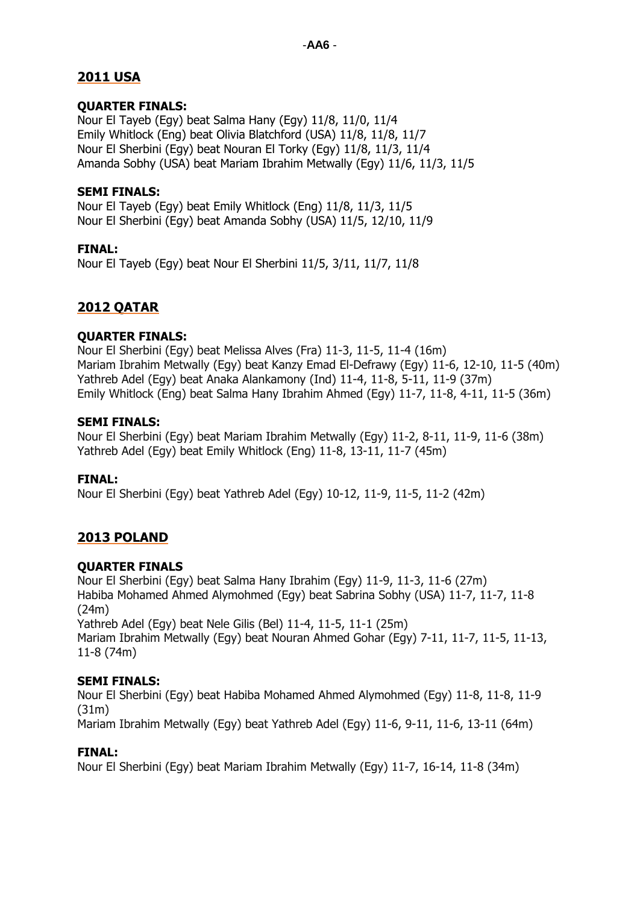### **2011 USA**

### **QUARTER FINALS:**

Nour El Tayeb (Egy) beat Salma Hany (Egy) 11/8, 11/0, 11/4 Emily Whitlock (Eng) beat Olivia Blatchford (USA) 11/8, 11/8, 11/7 Nour El Sherbini (Egy) beat Nouran El Torky (Egy) 11/8, 11/3, 11/4 Amanda Sobhy (USA) beat Mariam Ibrahim Metwally (Egy) 11/6, 11/3, 11/5

### **SEMI FINALS:**

Nour El Tayeb (Egy) beat Emily Whitlock (Eng) 11/8, 11/3, 11/5 Nour El Sherbini (Egy) beat Amanda Sobhy (USA) 11/5, 12/10, 11/9

### **FINAL:**

Nour El Tayeb (Egy) beat Nour El Sherbini 11/5, 3/11, 11/7, 11/8

### **2012 QATAR**

### **QUARTER FINALS:**

Nour El Sherbini (Egy) beat Melissa Alves (Fra) 11-3, 11-5, 11-4 (16m) Mariam Ibrahim Metwally (Egy) beat Kanzy Emad El-Defrawy (Egy) 11-6, 12-10, 11-5 (40m) Yathreb Adel (Egy) beat Anaka Alankamony (Ind) 11-4, 11-8, 5-11, 11-9 (37m) Emily Whitlock (Eng) beat Salma Hany Ibrahim Ahmed (Egy) 11-7, 11-8, 4-11, 11-5 (36m)

### **SEMI FINALS:**

Nour El Sherbini (Egy) beat Mariam Ibrahim Metwally (Egy) 11-2, 8-11, 11-9, 11-6 (38m) Yathreb Adel (Egy) beat Emily Whitlock (Eng) 11-8, 13-11, 11-7 (45m)

### **FINAL:**

Nour El Sherbini (Egy) beat Yathreb Adel (Egy) 10-12, 11-9, 11-5, 11-2 (42m)

### **2013 POLAND**

### **QUARTER FINALS**

Nour El Sherbini (Egy) beat Salma Hany Ibrahim (Egy) 11-9, 11-3, 11-6 (27m) Habiba Mohamed Ahmed Alymohmed (Egy) beat Sabrina Sobhy (USA) 11-7, 11-7, 11-8 (24m) Yathreb Adel (Egy) beat Nele Gilis (Bel) 11-4, 11-5, 11-1 (25m) Mariam Ibrahim Metwally (Egy) beat Nouran Ahmed Gohar (Egy) 7-11, 11-7, 11-5, 11-13, 11-8 (74m)

### **SEMI FINALS:**

Nour El Sherbini (Egy) beat Habiba Mohamed Ahmed Alymohmed (Egy) 11-8, 11-8, 11-9 (31m)

Mariam Ibrahim Metwally (Egy) beat Yathreb Adel (Egy) 11-6, 9-11, 11-6, 13-11 (64m)

### **FINAL:**

Nour El Sherbini (Egy) beat Mariam Ibrahim Metwally (Egy) 11-7, 16-14, 11-8 (34m)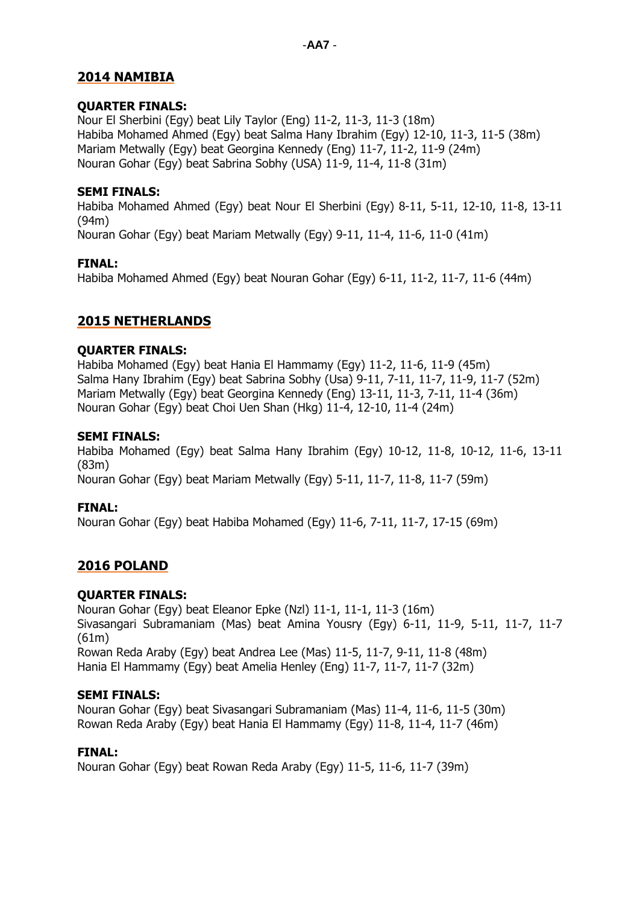### **2014 NAMIBIA**

### **QUARTER FINALS:**

Nour El Sherbini (Egy) beat Lily Taylor (Eng) 11-2, 11-3, 11-3 (18m) Habiba Mohamed Ahmed (Egy) beat Salma Hany Ibrahim (Egy) 12-10, 11-3, 11-5 (38m) Mariam Metwally (Egy) beat Georgina Kennedy (Eng) 11-7, 11-2, 11-9 (24m) Nouran Gohar (Egy) beat Sabrina Sobhy (USA) 11-9, 11-4, 11-8 (31m)

### **SEMI FINALS:**

Habiba Mohamed Ahmed (Egy) beat Nour El Sherbini (Egy) 8-11, 5-11, 12-10, 11-8, 13-11 (94m)

Nouran Gohar (Egy) beat Mariam Metwally (Egy) 9-11, 11-4, 11-6, 11-0 (41m)

### **FINAL:**

Habiba Mohamed Ahmed (Egy) beat Nouran Gohar (Egy) 6-11, 11-2, 11-7, 11-6 (44m)

### **2015 NETHERLANDS**

### **QUARTER FINALS:**

Habiba Mohamed (Egy) beat Hania El Hammamy (Egy) 11-2, 11-6, 11-9 (45m) Salma Hany Ibrahim (Egy) beat Sabrina Sobhy (Usa) 9-11, 7-11, 11-7, 11-9, 11-7 (52m) Mariam Metwally (Egy) beat Georgina Kennedy (Eng) 13-11, 11-3, 7-11, 11-4 (36m) Nouran Gohar (Egy) beat Choi Uen Shan (Hkg) 11-4, 12-10, 11-4 (24m)

### **SEMI FINALS:**

Habiba Mohamed (Egy) beat Salma Hany Ibrahim (Egy) 10-12, 11-8, 10-12, 11-6, 13-11 (83m)

Nouran Gohar (Egy) beat Mariam Metwally (Egy) 5-11, 11-7, 11-8, 11-7 (59m)

### **FINAL:**

Nouran Gohar (Egy) beat Habiba Mohamed (Egy) 11-6, 7-11, 11-7, 17-15 (69m)

### **2016 POLAND**

### **QUARTER FINALS:**

Nouran Gohar (Egy) beat Eleanor Epke (Nzl) 11-1, 11-1, 11-3 (16m) Sivasangari Subramaniam (Mas) beat Amina Yousry (Egy) 6-11, 11-9, 5-11, 11-7, 11-7 (61m) Rowan Reda Araby (Egy) beat Andrea Lee (Mas) 11-5, 11-7, 9-11, 11-8 (48m)

Hania El Hammamy (Egy) beat Amelia Henley (Eng) 11-7, 11-7, 11-7 (32m)

### **SEMI FINALS:**

Nouran Gohar (Egy) beat Sivasangari Subramaniam (Mas) 11-4, 11-6, 11-5 (30m) Rowan Reda Araby (Egy) beat Hania El Hammamy (Egy) 11-8, 11-4, 11-7 (46m)

### **FINAL:**

Nouran Gohar (Egy) beat Rowan Reda Araby (Egy) 11-5, 11-6, 11-7 (39m)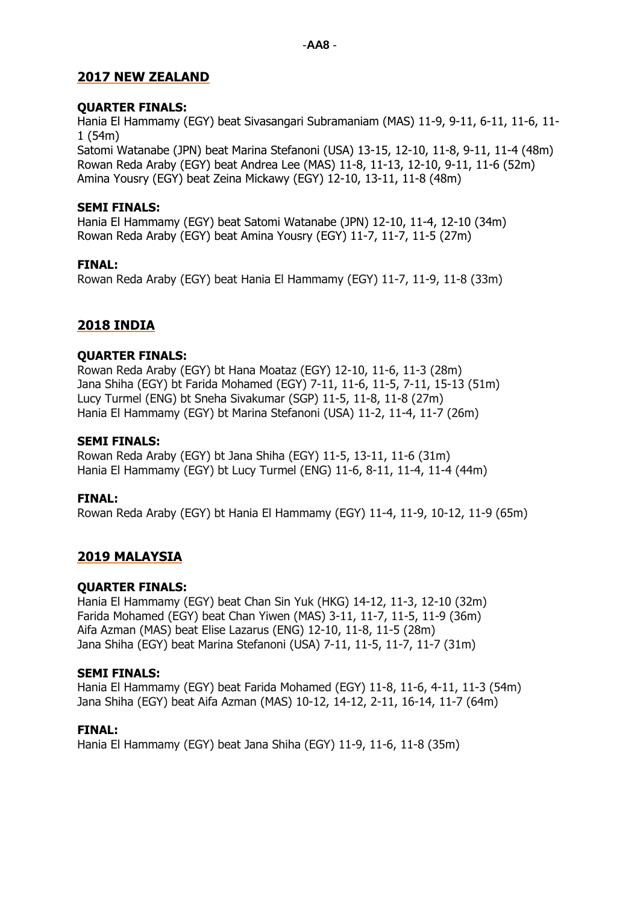### **2017 NEW ZEALAND**

### **QUARTER FINALS:**

Hania El Hammamy (EGY) beat Sivasangari Subramaniam (MAS) 11-9, 9-11, 6-11, 11-6, 11- 1 (54m)

Satomi Watanabe (JPN) beat Marina Stefanoni (USA) 13-15, 12-10, 11-8, 9-11, 11-4 (48m) Rowan Reda Araby (EGY) beat Andrea Lee (MAS) 11-8, 11-13, 12-10, 9-11, 11-6 (52m) Amina Yousry (EGY) beat Zeina Mickawy (EGY) 12-10, 13-11, 11-8 (48m)

### **SEMI FINALS:**

Hania El Hammamy (EGY) beat Satomi Watanabe (JPN) 12-10, 11-4, 12-10 (34m) Rowan Reda Araby (EGY) beat Amina Yousry (EGY) 11-7, 11-7, 11-5 (27m)

### **FINAL:**

Rowan Reda Araby (EGY) beat Hania El Hammamy (EGY) 11-7, 11-9, 11-8 (33m)

### **2018 INDIA**

### **QUARTER FINALS:**

Rowan Reda Araby (EGY) bt Hana Moataz (EGY) 12-10, 11-6, 11-3 (28m) Jana Shiha (EGY) bt Farida Mohamed (EGY) 7-11, 11-6, 11-5, 7-11, 15-13 (51m) Lucy Turmel (ENG) bt Sneha Sivakumar (SGP) 11-5, 11-8, 11-8 (27m) Hania El Hammamy (EGY) bt Marina Stefanoni (USA) 11-2, 11-4, 11-7 (26m)

### **SEMI FINALS:**

Rowan Reda Araby (EGY) bt Jana Shiha (EGY) 11-5, 13-11, 11-6 (31m) Hania El Hammamy (EGY) bt Lucy Turmel (ENG) 11-6, 8-11, 11-4, 11-4 (44m)

### **FINAL:**

Rowan Reda Araby (EGY) bt Hania El Hammamy (EGY) 11-4, 11-9, 10-12, 11-9 (65m)

### **2019 MALAYSIA**

### **QUARTER FINALS:**

Hania El Hammamy (EGY) beat Chan Sin Yuk (HKG) 14-12, 11-3, 12-10 (32m) Farida Mohamed (EGY) beat Chan Yiwen (MAS) 3-11, 11-7, 11-5, 11-9 (36m) Aifa Azman (MAS) beat Elise Lazarus (ENG) 12-10, 11-8, 11-5 (28m) Jana Shiha (EGY) beat Marina Stefanoni (USA) 7-11, 11-5, 11-7, 11-7 (31m)

### **SEMI FINALS:**

Hania El Hammamy (EGY) beat Farida Mohamed (EGY) 11-8, 11-6, 4-11, 11-3 (54m) Jana Shiha (EGY) beat Aifa Azman (MAS) 10-12, 14-12, 2-11, 16-14, 11-7 (64m)

### **FINAL:**

Hania El Hammamy (EGY) beat Jana Shiha (EGY) 11-9, 11-6, 11-8 (35m)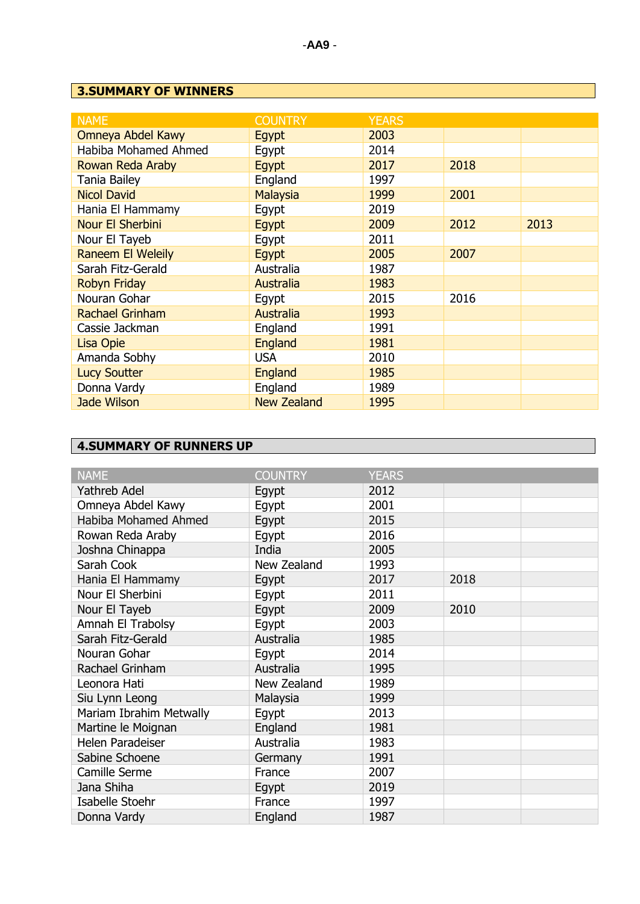## **3.SUMMARY OF WINNERS**

| <b>NAME</b>              | <b>COUNTRY</b>     | <b>YEARS</b> |      |      |
|--------------------------|--------------------|--------------|------|------|
| Omneya Abdel Kawy        | Egypt              | 2003         |      |      |
| Habiba Mohamed Ahmed     | Egypt              | 2014         |      |      |
| Rowan Reda Araby         | Egypt              | 2017         | 2018 |      |
| <b>Tania Bailey</b>      | England            | 1997         |      |      |
| <b>Nicol David</b>       | Malaysia           | 1999         | 2001 |      |
| Hania El Hammamy         | Egypt              | 2019         |      |      |
| Nour El Sherbini         | Egypt              | 2009         | 2012 | 2013 |
| Nour El Tayeb            | Egypt              | 2011         |      |      |
| <b>Raneem El Weleily</b> | Egypt              | 2005         | 2007 |      |
| Sarah Fitz-Gerald        | Australia          | 1987         |      |      |
| <b>Robyn Friday</b>      | Australia          | 1983         |      |      |
| Nouran Gohar             | Egypt              | 2015         | 2016 |      |
| <b>Rachael Grinham</b>   | <b>Australia</b>   | 1993         |      |      |
| Cassie Jackman           | England            | 1991         |      |      |
| Lisa Opie                | England            | 1981         |      |      |
| Amanda Sobhy             | <b>USA</b>         | 2010         |      |      |
| <b>Lucy Soutter</b>      | <b>England</b>     | 1985         |      |      |
| Donna Vardy              | England            | 1989         |      |      |
| <b>Jade Wilson</b>       | <b>New Zealand</b> | 1995         |      |      |

## **4.SUMMARY OF RUNNERS UP**

| <b>NAME</b>             | <b>COUNTRY</b> | <b>YEARS</b> |      |  |
|-------------------------|----------------|--------------|------|--|
| <b>Yathreb Adel</b>     | Egypt          | 2012         |      |  |
| Omneya Abdel Kawy       | Egypt          | 2001         |      |  |
| Habiba Mohamed Ahmed    | Egypt          | 2015         |      |  |
| Rowan Reda Araby        | Egypt          | 2016         |      |  |
| Joshna Chinappa         | India          | 2005         |      |  |
| Sarah Cook              | New Zealand    | 1993         |      |  |
| Hania El Hammamy        | Egypt          | 2017         | 2018 |  |
| Nour El Sherbini        | Egypt          | 2011         |      |  |
| Nour El Tayeb           | Egypt          | 2009         | 2010 |  |
| Amnah El Trabolsy       | Egypt          | 2003         |      |  |
| Sarah Fitz-Gerald       | Australia      | 1985         |      |  |
| Nouran Gohar            | Egypt          | 2014         |      |  |
| Rachael Grinham         | Australia      | 1995         |      |  |
| Leonora Hati            | New Zealand    | 1989         |      |  |
| Siu Lynn Leong          | Malaysia       | 1999         |      |  |
| Mariam Ibrahim Metwally | Egypt          | 2013         |      |  |
| Martine le Moignan      | England        | 1981         |      |  |
| Helen Paradeiser        | Australia      | 1983         |      |  |
| Sabine Schoene          | Germany        | 1991         |      |  |
| Camille Serme           | France         | 2007         |      |  |
| Jana Shiha              | Egypt          | 2019         |      |  |
| Isabelle Stoehr         | France         | 1997         |      |  |
| Donna Vardy             | England        | 1987         |      |  |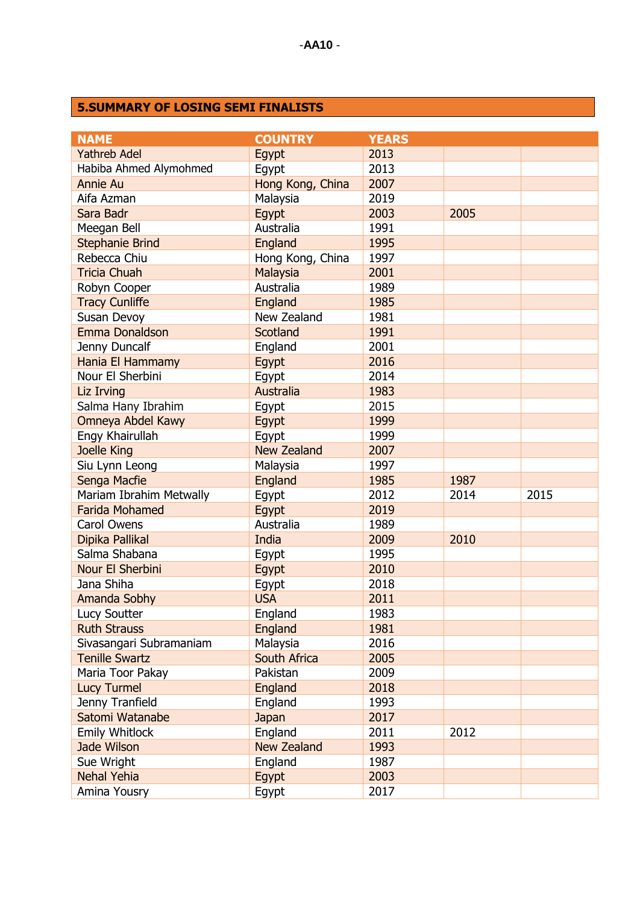### **5.SUMMARY OF LOSING SEMI FINALISTS**

| <b>NAME</b>             | <b>COUNTRY</b>     | <b>YEARS</b> |      |      |
|-------------------------|--------------------|--------------|------|------|
| <b>Yathreb Adel</b>     | Egypt              | 2013         |      |      |
| Habiba Ahmed Alymohmed  | Egypt              | 2013         |      |      |
| <b>Annie Au</b>         | Hong Kong, China   | 2007         |      |      |
| Aifa Azman              | Malaysia           | 2019         |      |      |
| Sara Badr               | Egypt              | 2003         | 2005 |      |
| Meegan Bell             | Australia          | 1991         |      |      |
| <b>Stephanie Brind</b>  | England            | 1995         |      |      |
| Rebecca Chiu            | Hong Kong, China   | 1997         |      |      |
| <b>Tricia Chuah</b>     | Malaysia           | 2001         |      |      |
| Robyn Cooper            | Australia          | 1989         |      |      |
| <b>Tracy Cunliffe</b>   | England            | 1985         |      |      |
| Susan Devoy             | New Zealand        | 1981         |      |      |
| Emma Donaldson          | <b>Scotland</b>    | 1991         |      |      |
| Jenny Duncalf           | England            | 2001         |      |      |
| Hania El Hammamy        | Egypt              | 2016         |      |      |
| Nour El Sherbini        | Egypt              | 2014         |      |      |
| Liz Irving              | Australia          | 1983         |      |      |
| Salma Hany Ibrahim      | Egypt              | 2015         |      |      |
| Omneya Abdel Kawy       | Egypt              | 1999         |      |      |
| Engy Khairullah         | Egypt              | 1999         |      |      |
| Joelle King             | <b>New Zealand</b> | 2007         |      |      |
| Siu Lynn Leong          | Malaysia           | 1997         |      |      |
| Senga Macfie            | England            | 1985         | 1987 |      |
| Mariam Ibrahim Metwally | Egypt              | 2012         | 2014 | 2015 |
| <b>Farida Mohamed</b>   | Egypt              | 2019         |      |      |
| <b>Carol Owens</b>      | Australia          | 1989         |      |      |
| Dipika Pallikal         | India              | 2009         | 2010 |      |
| Salma Shabana           | Egypt              | 1995         |      |      |
| Nour El Sherbini        | Egypt              | 2010         |      |      |
| Jana Shiha              | Egypt              | 2018         |      |      |
| Amanda Sobhy            | <b>USA</b>         | 2011         |      |      |
| Lucy Soutter            | England            | 1983         |      |      |
| <b>Ruth Strauss</b>     | <b>England</b>     | 1981         |      |      |
| Sivasangari Subramaniam | Malaysia           | 2016         |      |      |
| <b>Tenille Swartz</b>   | South Africa       | 2005         |      |      |
| Maria Toor Pakay        | Pakistan           | 2009         |      |      |
| <b>Lucy Turmel</b>      | England            | 2018         |      |      |
| Jenny Tranfield         | England            | 1993         |      |      |
| Satomi Watanabe         | Japan              | 2017         |      |      |
| <b>Emily Whitlock</b>   | England            | 2011         | 2012 |      |
| <b>Jade Wilson</b>      | <b>New Zealand</b> | 1993         |      |      |
| Sue Wright              | England            | 1987         |      |      |
| <b>Nehal Yehia</b>      | Egypt              | 2003         |      |      |
| Amina Yousry            | Egypt              | 2017         |      |      |